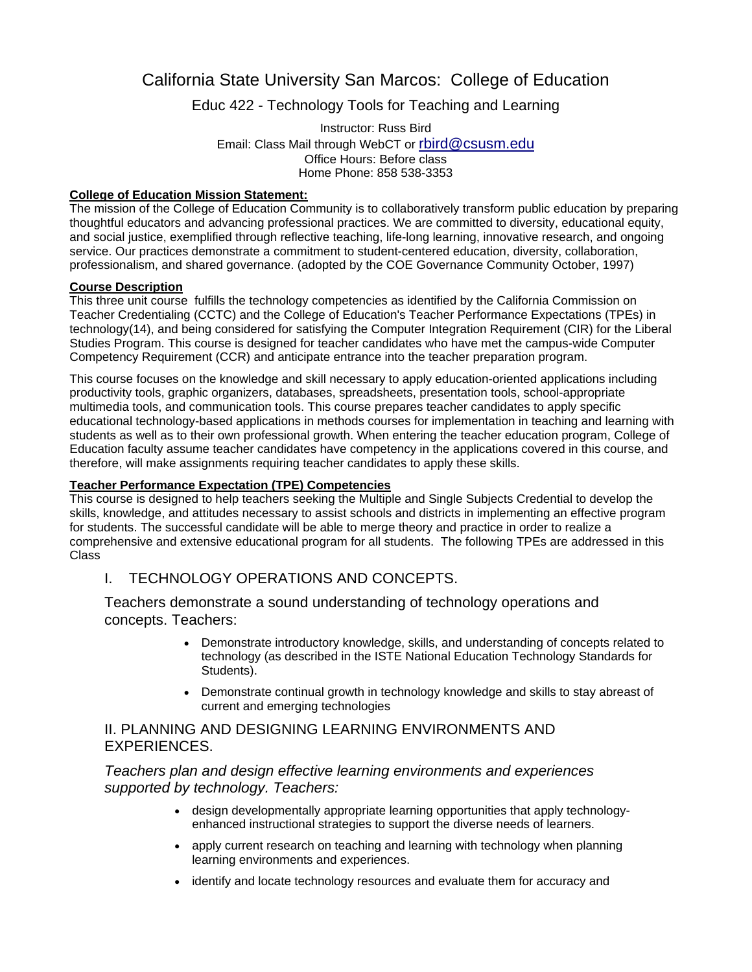# California State University San Marcos: College of Education

Educ 422 - Technology Tools for Teaching and Learning

Instructor: Russ Bird Email: Class Mail through WebCT or rbird@csusm.edu Office Hours: Before class Home Phone: 858 538-3353

### **College of Education Mission Statement:**

The mission of the College of Education Community is to collaboratively transform public education by preparing thoughtful educators and advancing professional practices. We are committed to diversity, educational equity, and social justice, exemplified through reflective teaching, life-long learning, innovative research, and ongoing service. Our practices demonstrate a commitment to student-centered education, diversity, collaboration, professionalism, and shared governance. (adopted by the COE Governance Community October, 1997)

#### **Course Description**

This three unit course fulfills the technology competencies as identified by the California Commission on Teacher Credentialing (CCTC) and the College of Education's Teacher Performance Expectations (TPEs) in technology(14), and being considered for satisfying the Computer Integration Requirement (CIR) for the Liberal Studies Program. This course is designed for teacher candidates who have met the campus-wide Computer Competency Requirement (CCR) and anticipate entrance into the teacher preparation program.

This course focuses on the knowledge and skill necessary to apply education-oriented applications including productivity tools, graphic organizers, databases, spreadsheets, presentation tools, school-appropriate multimedia tools, and communication tools. This course prepares teacher candidates to apply specific educational technology-based applications in methods courses for implementation in teaching and learning with students as well as to their own professional growth. When entering the teacher education program, College of Education faculty assume teacher candidates have competency in the applications covered in this course, and therefore, will make assignments requiring teacher candidates to apply these skills.

#### **Teacher Performance Expectation (TPE) Competencies**

This course is designed to help teachers seeking the Multiple and Single Subjects Credential to develop the skills, knowledge, and attitudes necessary to assist schools and districts in implementing an effective program for students. The successful candidate will be able to merge theory and practice in order to realize a comprehensive and extensive educational program for all students. The following TPEs are addressed in this Class

I. TECHNOLOGY OPERATIONS AND CONCEPTS.

Teachers demonstrate a sound understanding of technology operations and concepts. Teachers:

- Demonstrate introductory knowledge, skills, and understanding of concepts related to technology (as described in the ISTE National Education Technology Standards for Students).
- Demonstrate continual growth in technology knowledge and skills to stay abreast of current and emerging technologies

### II. PLANNING AND DESIGNING LEARNING ENVIRONMENTS AND EXPERIENCES.

### *Teachers plan and design effective learning environments and experiences supported by technology. Teachers:*

- design developmentally appropriate learning opportunities that apply technologyenhanced instructional strategies to support the diverse needs of learners.
- apply current research on teaching and learning with technology when planning learning environments and experiences.
- identify and locate technology resources and evaluate them for accuracy and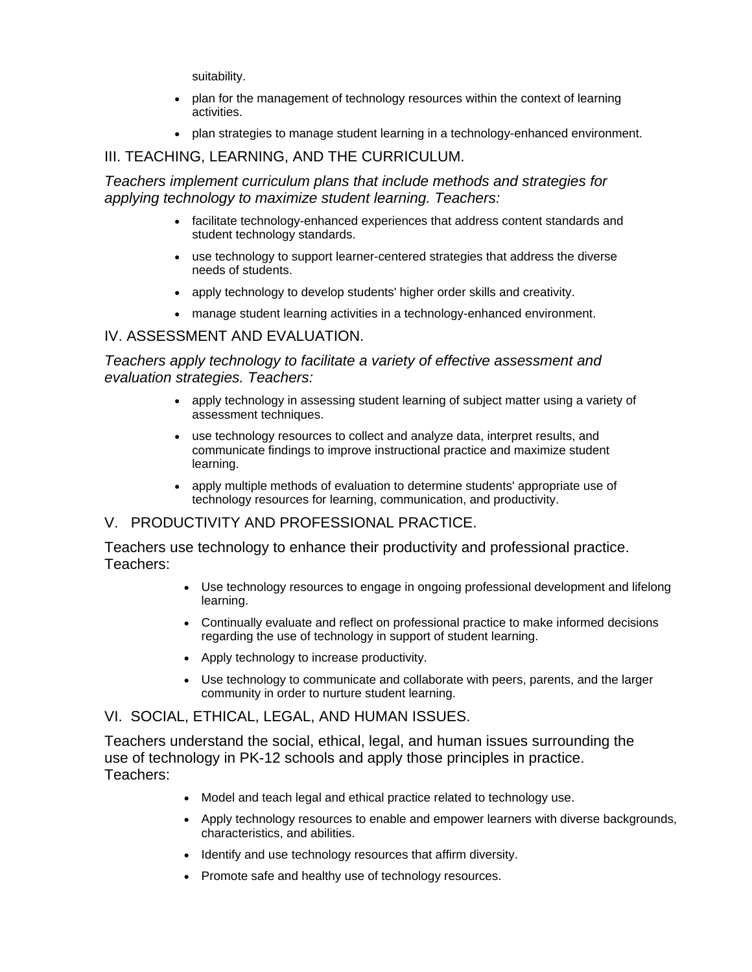suitability.

- plan for the management of technology resources within the context of learning activities.
- plan strategies to manage student learning in a technology-enhanced environment.

## III. TEACHING, LEARNING, AND THE CURRICULUM.

*Teachers implement curriculum plans that include methods and strategies for applying technology to maximize student learning. Teachers:* 

- facilitate technology-enhanced experiences that address content standards and student technology standards.
- use technology to support learner-centered strategies that address the diverse needs of students.
- apply technology to develop students' higher order skills and creativity.
- manage student learning activities in a technology-enhanced environment.

### IV. ASSESSMENT AND EVALUATION.

*Teachers apply technology to facilitate a variety of effective assessment and evaluation strategies. Teachers:* 

- apply technology in assessing student learning of subject matter using a variety of assessment techniques.
- use technology resources to collect and analyze data, interpret results, and communicate findings to improve instructional practice and maximize student learning.
- apply multiple methods of evaluation to determine students' appropriate use of technology resources for learning, communication, and productivity.

### V. PRODUCTIVITY AND PROFESSIONAL PRACTICE.

Teachers use technology to enhance their productivity and professional practice. Teachers:

- Use technology resources to engage in ongoing professional development and lifelong learning.
- Continually evaluate and reflect on professional practice to make informed decisions regarding the use of technology in support of student learning.
- Apply technology to increase productivity.
- Use technology to communicate and collaborate with peers, parents, and the larger community in order to nurture student learning.

### VI. SOCIAL, ETHICAL, LEGAL, AND HUMAN ISSUES.

Teachers understand the social, ethical, legal, and human issues surrounding the use of technology in PK-12 schools and apply those principles in practice. Teachers:

- Model and teach legal and ethical practice related to technology use.
- Apply technology resources to enable and empower learners with diverse backgrounds, characteristics, and abilities.
- Identify and use technology resources that affirm diversity.
- Promote safe and healthy use of technology resources.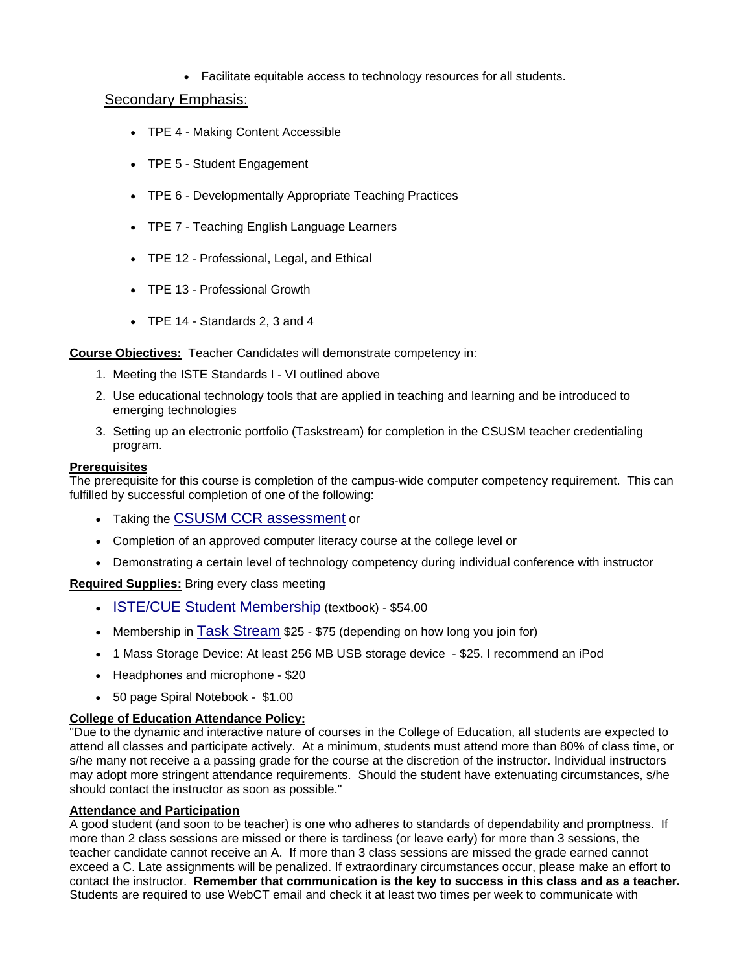### • Facilitate equitable access to technology resources for all students.

### Secondary Emphasis:

- TPE 4 Making Content Accessible
- TPE 5 Student Engagement
- TPE 6 Developmentally Appropriate Teaching Practices
- TPE 7 Teaching English Language Learners
- TPE 12 Professional, Legal, and Ethical
- TPE 13 Professional Growth
- TPE 14 Standards 2, 3 and 4

**Course Objectives:** Teacher Candidates will demonstrate competency in:

- 1. Meeting the ISTE Standards I VI outlined above
- 2. Use educational technology tools that are applied in teaching and learning and be introduced to emerging technologies
- 3. Setting up an electronic portfolio (Taskstream) for completion in the CSUSM teacher credentialing program.

#### **Prerequisites**

The prerequisite for this course is completion of the campus-wide computer competency requirement. This can fulfilled by successful completion of one of the following:

- Taking the CSUSM CCR assessment or
- Completion of an approved computer literacy course at the college level or
- Demonstrating a certain level of technology competency during individual conference with instructor

### **Required Supplies:** Bring every class meeting

- ISTE/CUE Student Membership (textbook) \$54.00
- Membership in **Task Stream** \$25 \$75 (depending on how long you join for)
- 1 Mass Storage Device: At least 256 MB USB storage device \$25. I recommend an iPod
- Headphones and microphone \$20
- 50 page Spiral Notebook \$1.00

### **College of Education Attendance Policy:**

"Due to the dynamic and interactive nature of courses in the College of Education, all students are expected to attend all classes and participate actively. At a minimum, students must attend more than 80% of class time, or s/he many not receive a a passing grade for the course at the discretion of the instructor. Individual instructors may adopt more stringent attendance requirements. Should the student have extenuating circumstances, s/he should contact the instructor as soon as possible."

#### **Attendance and Participation**

A good student (and soon to be teacher) is one who adheres to standards of dependability and promptness. If more than 2 class sessions are missed or there is tardiness (or leave early) for more than 3 sessions, the teacher candidate cannot receive an A. If more than 3 class sessions are missed the grade earned cannot exceed a C. Late assignments will be penalized. If extraordinary circumstances occur, please make an effort to contact the instructor. **Remember that communication is the key to success in this class and as a teacher.** Students are required to use WebCT email and check it at least two times per week to communicate with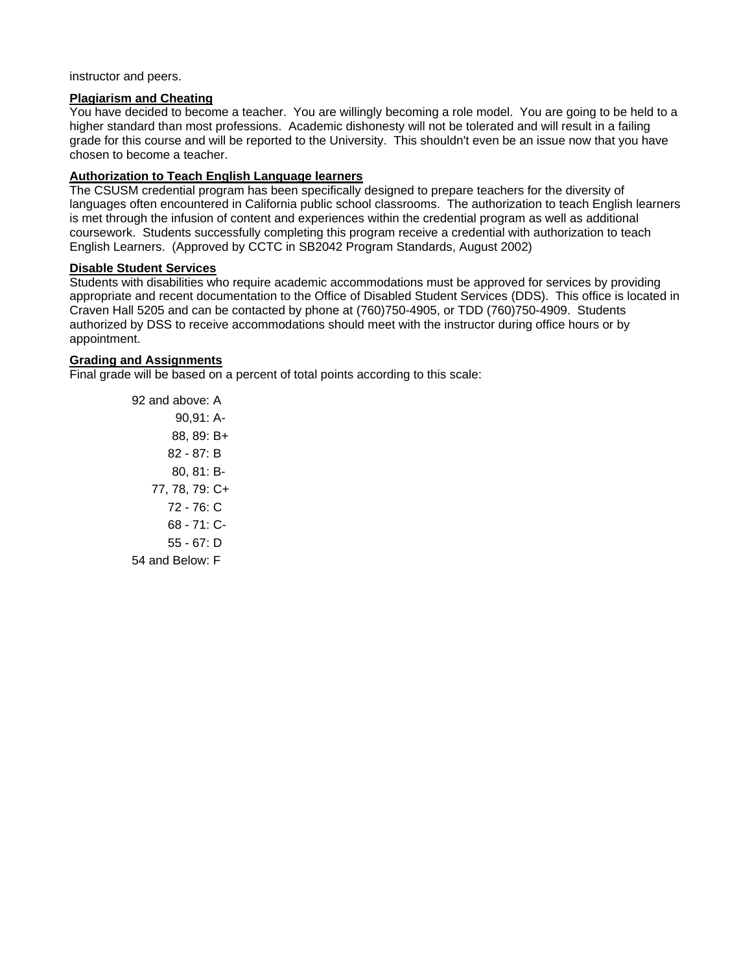instructor and peers.

#### **Plagiarism and Cheating**

You have decided to become a teacher. You are willingly becoming a role model. You are going to be held to a higher standard than most professions. Academic dishonesty will not be tolerated and will result in a failing grade for this course and will be reported to the University. This shouldn't even be an issue now that you have chosen to become a teacher.

### **Authorization to Teach English Language learners**

The CSUSM credential program has been specifically designed to prepare teachers for the diversity of languages often encountered in California public school classrooms. The authorization to teach English learners is met through the infusion of content and experiences within the credential program as well as additional coursework. Students successfully completing this program receive a credential with authorization to teach English Learners. (Approved by CCTC in SB2042 Program Standards, August 2002)

#### **Disable Student Services**

Students with disabilities who require academic accommodations must be approved for services by providing appropriate and recent documentation to the Office of Disabled Student Services (DDS). This office is located in Craven Hall 5205 and can be contacted by phone at (760)750-4905, or TDD (760)750-4909. Students authorized by DSS to receive accommodations should meet with the instructor during office hours or by appointment.

### **Grading and Assignments**

Final grade will be based on a percent of total points according to this scale:

92 and above: A 90,91: A-88, 89: B+ 82 - 87: B 80, 81: B-77, 78, 79: C+ 72 - 76: C 68 - 71: C-55 - 67: D 54 and Below: F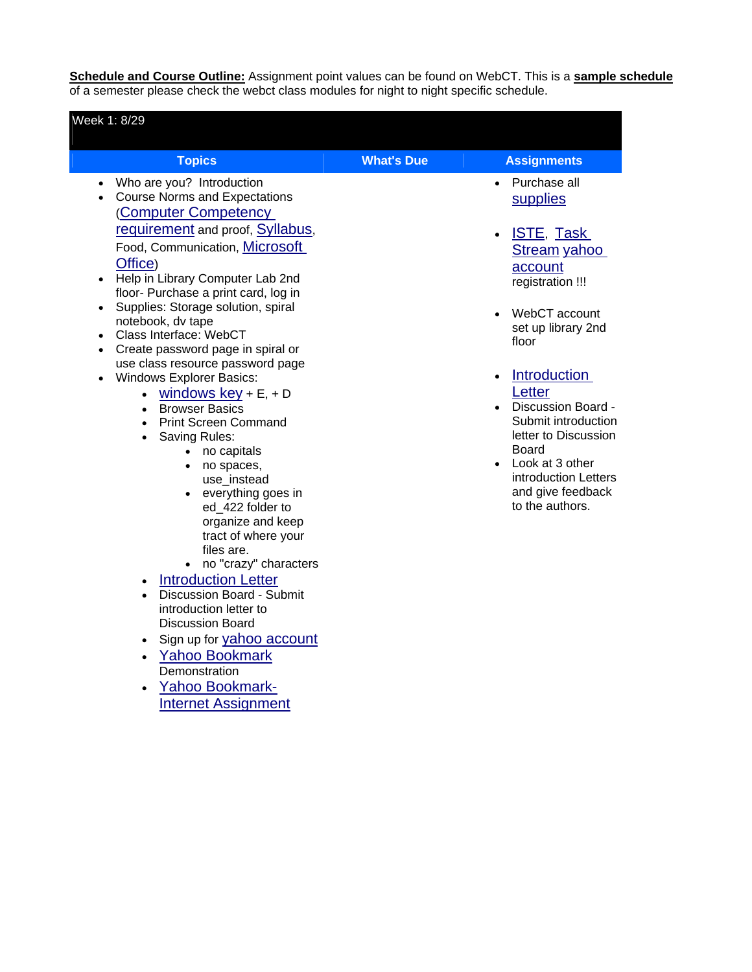**Schedule and Course Outline:** Assignment point values can be found on WebCT. This is a **sample schedule** of a semester please check the webct class modules for night to night specific schedule.

| Week 1: 8/29                                                                                                                                                                                                                                                                                                                                                                                                                                                                                                                                                                                                                                                                                                                                                                                                                                                                                                                                                                                                                                                            |                   |                                                                                                                                                                                                                                                                                                                                                                                           |
|-------------------------------------------------------------------------------------------------------------------------------------------------------------------------------------------------------------------------------------------------------------------------------------------------------------------------------------------------------------------------------------------------------------------------------------------------------------------------------------------------------------------------------------------------------------------------------------------------------------------------------------------------------------------------------------------------------------------------------------------------------------------------------------------------------------------------------------------------------------------------------------------------------------------------------------------------------------------------------------------------------------------------------------------------------------------------|-------------------|-------------------------------------------------------------------------------------------------------------------------------------------------------------------------------------------------------------------------------------------------------------------------------------------------------------------------------------------------------------------------------------------|
| <b>Topics</b>                                                                                                                                                                                                                                                                                                                                                                                                                                                                                                                                                                                                                                                                                                                                                                                                                                                                                                                                                                                                                                                           | <b>What's Due</b> | <b>Assignments</b>                                                                                                                                                                                                                                                                                                                                                                        |
| Who are you? Introduction<br><b>Course Norms and Expectations</b><br>(Computer Competency<br>requirement and proof, Syllabus,<br>Food, Communication, Microsoft<br>Office)<br>Help in Library Computer Lab 2nd<br>$\bullet$<br>floor- Purchase a print card, log in<br>Supplies: Storage solution, spiral<br>$\bullet$<br>notebook, dv tape<br>Class Interface: WebCT<br>$\bullet$<br>Create password page in spiral or<br>use class resource password page<br><b>Windows Explorer Basics:</b><br>$\bullet$<br>• windows $key + E + D$<br>• Browser Basics<br><b>Print Screen Command</b><br>Saving Rules:<br>no capitals<br>$\bullet$<br>no spaces,<br>$\bullet$<br>use_instead<br>• everything goes in<br>ed 422 folder to<br>organize and keep<br>tract of where your<br>files are.<br>• no "crazy" characters<br><b>Introduction Letter</b><br><b>Discussion Board - Submit</b><br>introduction letter to<br><b>Discussion Board</b><br>Sign up for yahoo account<br><b>Yahoo Bookmark</b><br>Demonstration<br><b>Yahoo Bookmark-</b><br><b>Internet Assignment</b> |                   | Purchase all<br>$\bullet$<br>supplies<br><b>ISTE, Task</b><br>$\bullet$<br><b>Stream yahoo</b><br>account<br>registration !!!<br>WebCT account<br>set up library 2nd<br>floor<br>Introduction<br>$\bullet$<br>Letter<br>• Discussion Board -<br>Submit introduction<br>letter to Discussion<br>Board<br>• Look at 3 other<br>introduction Letters<br>and give feedback<br>to the authors. |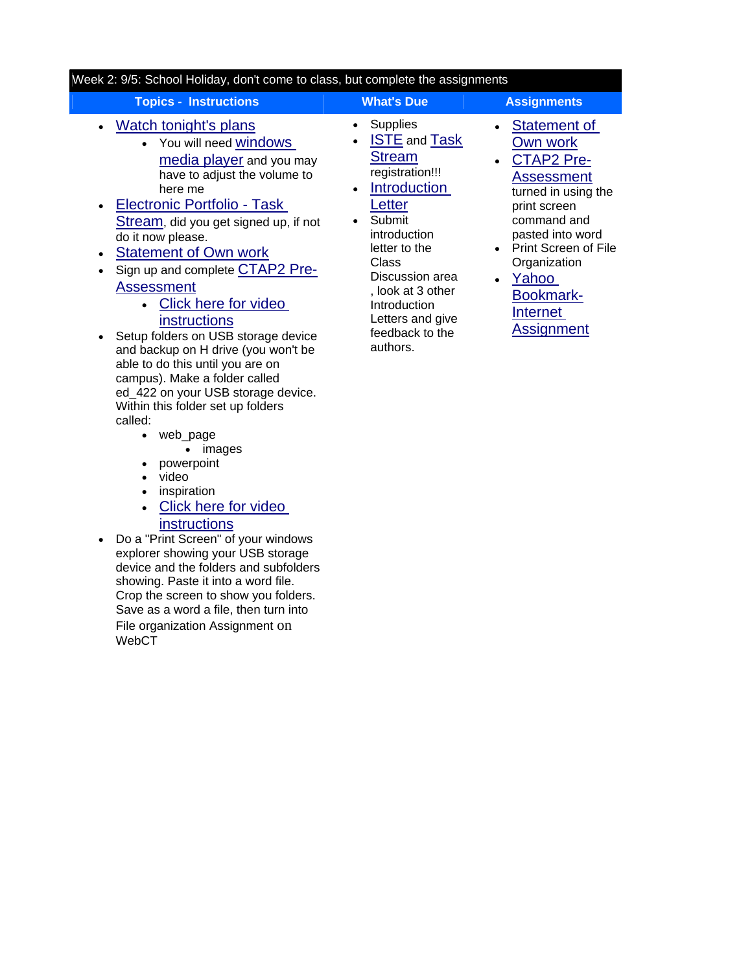| Week 2: 9/5: School Holiday, don't come to class, but complete the assignments |  |  |  |  |
|--------------------------------------------------------------------------------|--|--|--|--|
|--------------------------------------------------------------------------------|--|--|--|--|

| $\kappa$ $z$ . 3/J. Juliuul Huliday, durft curle tu class, but cumplete the assignments<br><b>Topics - Instructions</b>                                                                                                                                                                                                                                                                                                                                                                                                                                                                                                                                                                                                                             | <b>What's Due</b>                                                                                                                                                                                                                                                                | <b>Assignments</b>                                                                                                                                                                                                                                 |
|-----------------------------------------------------------------------------------------------------------------------------------------------------------------------------------------------------------------------------------------------------------------------------------------------------------------------------------------------------------------------------------------------------------------------------------------------------------------------------------------------------------------------------------------------------------------------------------------------------------------------------------------------------------------------------------------------------------------------------------------------------|----------------------------------------------------------------------------------------------------------------------------------------------------------------------------------------------------------------------------------------------------------------------------------|----------------------------------------------------------------------------------------------------------------------------------------------------------------------------------------------------------------------------------------------------|
| Watch tonight's plans<br>$\bullet$<br>You will need <u>Windows</u><br>$\bullet$<br>media player and you may<br>have to adjust the volume to<br>here me<br>Electronic Portfolio - Task<br>$\bullet$<br>Stream, did you get signed up, if not<br>do it now please.<br><b>Statement of Own work</b><br>$\bullet$<br>Sign up and complete CTAP2 Pre-<br>$\bullet$<br><b>Assessment</b><br><b>Click here for video</b><br>$\bullet$<br><b>instructions</b><br>Setup folders on USB storage device<br>$\bullet$<br>and backup on H drive (you won't be<br>able to do this until you are on<br>campus). Make a folder called<br>ed_422 on your USB storage device.<br>Within this folder set up folders<br>called:<br>web_page<br>$\bullet$<br>images<br>. | <b>Supplies</b><br>٠<br><b>ISTE</b> and Task<br><b>Stream</b><br>registration!!!<br><b>Introduction</b><br>Letter<br>Submit<br>introduction<br>letter to the<br>Class<br>Discussion area<br>, look at 3 other<br>Introduction<br>Letters and give<br>feedback to the<br>authors. | Statement of<br>Own work<br><b>CTAP2 Pre-</b><br>Assessment<br>turned in using the<br>print screen<br>command and<br>pasted into word<br><b>Print Screen of File</b><br>Organization<br>Yahoo<br><b>Bookmark-</b><br>Internet<br><b>Assignment</b> |

- powerpoint
- video
- inspiration
- Click here for video **instructions**
- Do a "Print Screen" of your windows explorer showing your USB storage device and the folders and subfolders showing. Paste it into a word file. Crop the screen to show you folders. Save as a word a file, then turn into File organization Assignment on **WebCT**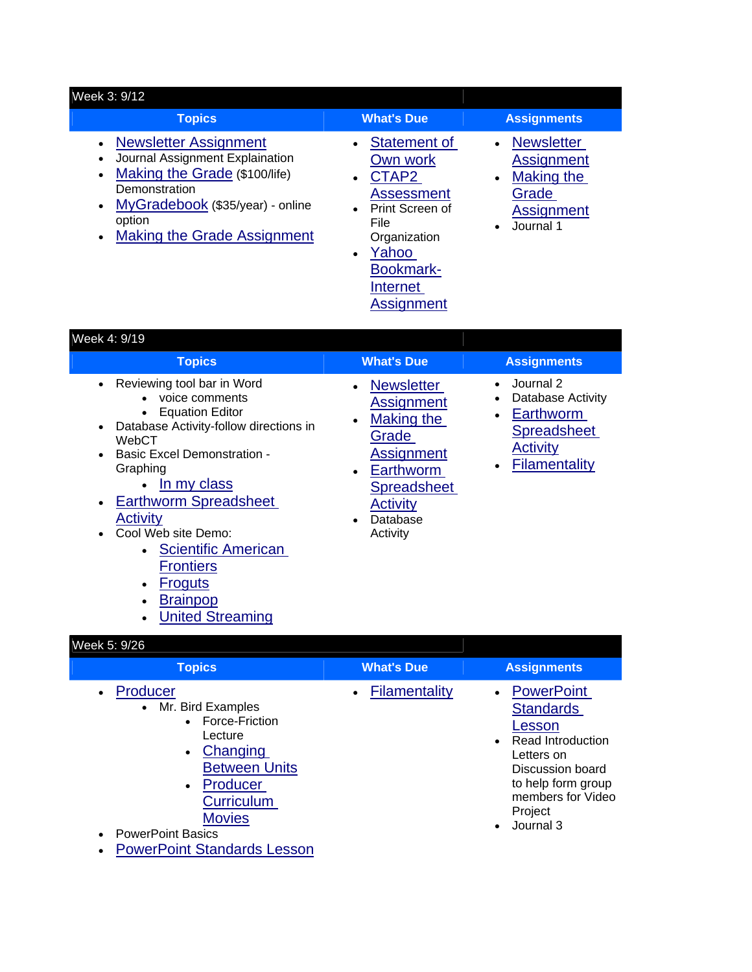| Week 3: 9/12                                                                                                                                                                                                                                                           |                                                                                                                                                                              |                                                                                                                          |
|------------------------------------------------------------------------------------------------------------------------------------------------------------------------------------------------------------------------------------------------------------------------|------------------------------------------------------------------------------------------------------------------------------------------------------------------------------|--------------------------------------------------------------------------------------------------------------------------|
| <b>Topics</b>                                                                                                                                                                                                                                                          | <b>What's Due</b>                                                                                                                                                            | <b>Assignments</b>                                                                                                       |
| <b>Newsletter Assignment</b><br>$\bullet$<br>Journal Assignment Explaination<br>$\bullet$<br>Making the Grade (\$100/life)<br>$\bullet$<br>Demonstration<br>MyGradebook (\$35/year) - online<br>$\bullet$<br>option<br><b>Making the Grade Assignment</b><br>$\bullet$ | <b>Statement of</b><br>Own work<br>CTAP2<br>Assessment<br>Print Screen of<br><b>File</b><br>Organization<br>Yahoo<br>$\bullet$<br>Bookmark-<br>Internet<br><b>Assignment</b> | <b>Newsletter</b><br>$\bullet$<br>Assignment<br>Making the<br>$\bullet$<br>Grade<br>Assignment<br>Journal 1<br>$\bullet$ |

| Week 4: 9/19                                                                                                                                                                                                                                                                                                                                                                                                                                                                            |                                                                                                                                             |                                                                                                                          |
|-----------------------------------------------------------------------------------------------------------------------------------------------------------------------------------------------------------------------------------------------------------------------------------------------------------------------------------------------------------------------------------------------------------------------------------------------------------------------------------------|---------------------------------------------------------------------------------------------------------------------------------------------|--------------------------------------------------------------------------------------------------------------------------|
| <b>Topics</b>                                                                                                                                                                                                                                                                                                                                                                                                                                                                           | <b>What's Due</b>                                                                                                                           | <b>Assignments</b>                                                                                                       |
| Reviewing tool bar in Word<br>$\bullet$<br>voice comments<br><b>Equation Editor</b><br>Database Activity-follow directions in<br>$\bullet$<br>WebCT<br><b>Basic Excel Demonstration -</b><br>$\bullet$<br>Graphing<br>In my class<br>$\bullet$<br><b>Earthworm Spreadsheet</b><br>$\bullet$<br>Activity<br>Cool Web site Demo:<br><b>Scientific American</b><br><b>Frontiers</b><br><b>Froguts</b><br>$\bullet$<br><b>Brainpop</b><br>$\bullet$<br><b>United Streaming</b><br>$\bullet$ | <b>Newsletter</b><br>Assignment<br>Making the<br>Grade<br>Assignment<br>Earthworm<br><b>Spreadsheet</b><br>Activity<br>Database<br>Activity | Journal 2<br>$\bullet$<br>Database Activity<br>Earthworm<br>$\bullet$<br><b>Spreadsheet</b><br>Activity<br>Filamentality |

# Week 5: 9/26

| <b>Topics</b>                                                                                                                                                                                                                        | <b>What's Due</b> | <b>Assignments</b>                                                                                                                                                               |
|--------------------------------------------------------------------------------------------------------------------------------------------------------------------------------------------------------------------------------------|-------------------|----------------------------------------------------------------------------------------------------------------------------------------------------------------------------------|
| Producer<br>$\bullet$<br>• Mr. Bird Examples<br>• Force-Friction<br>Lecture<br>Changing<br>$\bullet$<br><b>Between Units</b><br>Producer<br>$\bullet$<br><b>Curriculum</b><br><b>Movies</b><br><b>PowerPoint Basics</b><br>$\bullet$ | Filamentality     | <b>PowerPoint</b><br><b>Standards</b><br>Lesson<br>Read Introduction<br>Letters on<br><b>Discussion board</b><br>to help form group<br>members for Video<br>Project<br>Journal 3 |

• PowerPoint Standards Lesson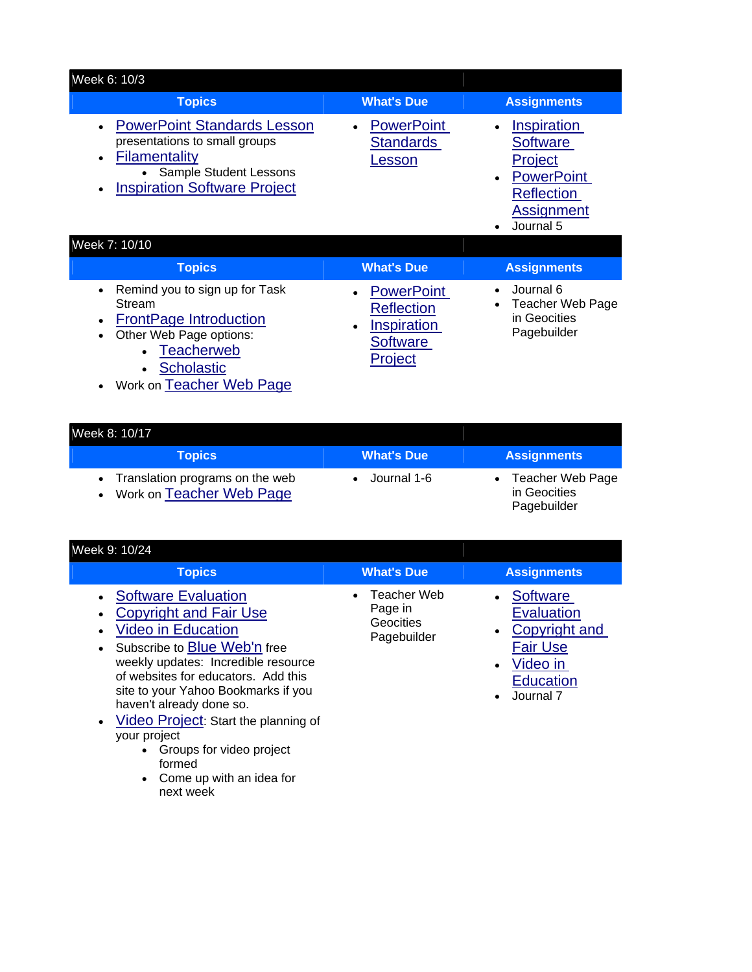| Week 6: 10/3                                                                                                                                                                                     |                                                 |                                                                                                                |
|--------------------------------------------------------------------------------------------------------------------------------------------------------------------------------------------------|-------------------------------------------------|----------------------------------------------------------------------------------------------------------------|
| <b>Topics</b>                                                                                                                                                                                    | <b>What's Due</b>                               | <b>Assignments</b>                                                                                             |
| <b>PowerPoint Standards Lesson</b><br>$\bullet$<br>presentations to small groups<br>Filamentality<br>$\bullet$<br>Sample Student Lessons<br><b>Inspiration Software Project</b><br>Week 7: 10/10 | <b>PowerPoint</b><br><b>Standards</b><br>Lesson | Inspiration<br><b>Software</b><br>Project<br><b>PowerPoint</b><br><b>Reflection</b><br>Assignment<br>Journal 5 |
| <b>Topics</b>                                                                                                                                                                                    | <b>What's Due</b>                               | <b>Assignments</b>                                                                                             |
| Remind you to sign up for Task<br>$\bullet$<br>Stream                                                                                                                                            | <b>PowerPoint</b><br><b>Reflection</b>          | Journal 6<br>Teacher Web Page                                                                                  |

| Week 8: 10/17                                                              |                   |                                                 |
|----------------------------------------------------------------------------|-------------------|-------------------------------------------------|
| <b>Topics</b>                                                              | <b>What's Due</b> | <b>Assignments</b>                              |
| • Translation programs on the web<br>Work on Teacher Web Page<br>$\bullet$ | Journal 1-6       | Teacher Web Page<br>in Geocities<br>Pagebuilder |

| Week 9: 10/24                                                                                                                                                                                                                                                                                                                                                                           |                                                    |                                                                                                                                                                           |
|-----------------------------------------------------------------------------------------------------------------------------------------------------------------------------------------------------------------------------------------------------------------------------------------------------------------------------------------------------------------------------------------|----------------------------------------------------|---------------------------------------------------------------------------------------------------------------------------------------------------------------------------|
| <b>Topics</b>                                                                                                                                                                                                                                                                                                                                                                           | <b>What's Due</b>                                  | <b>Assignments</b>                                                                                                                                                        |
| <b>Software Evaluation</b><br>$\bullet$<br><b>Copyright and Fair Use</b><br>$\bullet$<br><b>Video in Education</b><br>$\bullet$<br>Subscribe to Blue Web'n free<br>$\bullet$<br>weekly updates: Incredible resource<br>of websites for educators. Add this<br>site to your Yahoo Bookmarks if you<br>haven't already done so.<br>• Video Project: Start the planning of<br>your project | Teacher Web<br>Page in<br>Geocities<br>Pagebuilder | <b>Software</b><br>$\bullet$<br><b>Evaluation</b><br>Copyright and<br>$\bullet$<br><b>Fair Use</b><br>Video in<br>$\bullet$<br><b>Education</b><br>Journal 7<br>$\bullet$ |

• Groups for video project

• Come up with an idea for

formed

next week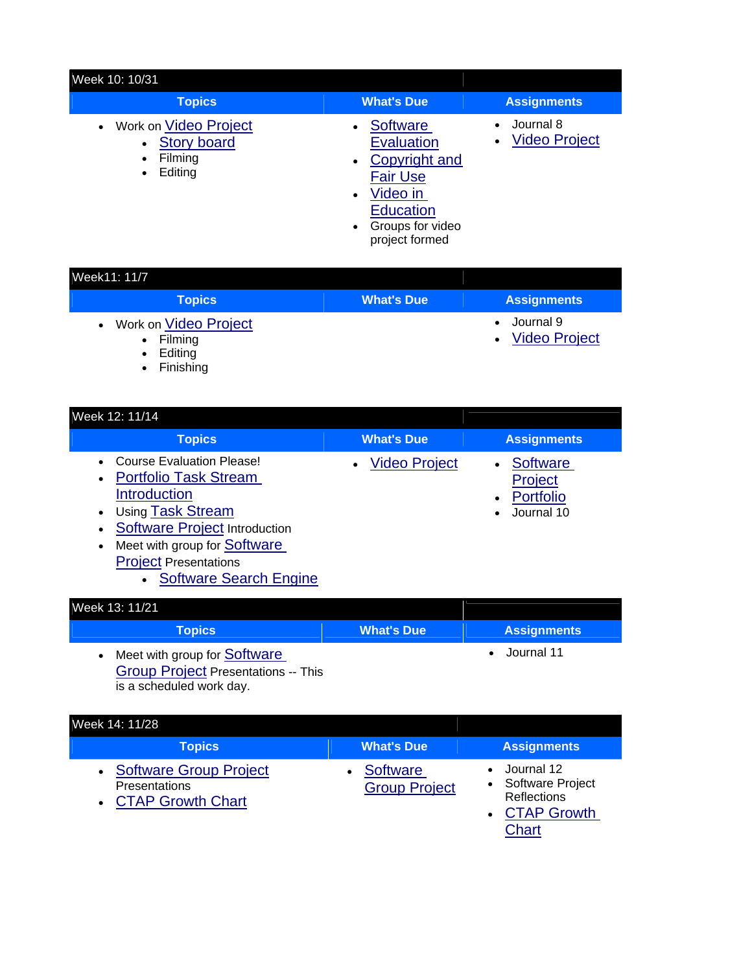| Week 10: 10/31                                                                                                        |                                                                                                                                                                    |                                   |
|-----------------------------------------------------------------------------------------------------------------------|--------------------------------------------------------------------------------------------------------------------------------------------------------------------|-----------------------------------|
| <b>Topics</b>                                                                                                         | <b>What's Due</b>                                                                                                                                                  | <b>Assignments</b>                |
| Work on Video Project<br>$\bullet$<br><b>Story board</b><br>$\bullet$<br>Filming<br>$\bullet$<br>Editing<br>$\bullet$ | <b>Software</b><br><b>Evaluation</b><br><b>Copyright and</b><br><b>Fair Use</b><br>Video in<br>$\bullet$<br><b>Education</b><br>Groups for video<br>project formed | Journal 8<br><b>Video Project</b> |

| Week11: 11/7                                                                 |                   |                              |
|------------------------------------------------------------------------------|-------------------|------------------------------|
| <b>Topics</b>                                                                | <b>What's Due</b> | <b>Assignments</b>           |
| Work on Video Project<br>$\bullet$<br><b>Filming</b><br>$\bullet$<br>Editing |                   | Journal 9<br>• Video Project |

• Finishing

| Week 12: 11/14                                                                                                                                                                                                                                                 |                      |                                                                                              |
|----------------------------------------------------------------------------------------------------------------------------------------------------------------------------------------------------------------------------------------------------------------|----------------------|----------------------------------------------------------------------------------------------|
| <b>Topics</b>                                                                                                                                                                                                                                                  | <b>What's Due</b>    | <b>Assignments</b>                                                                           |
| <b>Course Evaluation Please!</b><br><b>Portfolio Task Stream</b><br><b>Introduction</b><br>• Using Task Stream<br><b>Software Project Introduction</b><br>Meet with group for <b>Software</b><br><b>Project Presentations</b><br><b>Software Search Engine</b> | <b>Video Project</b> | <b>Software</b><br>$\bullet$<br>Project<br>Portfolio<br>$\bullet$<br>Journal 10<br>$\bullet$ |

| <b>Topics</b>                                                                                                              | <b>What's Due</b> | <b>Assignments</b>      |
|----------------------------------------------------------------------------------------------------------------------------|-------------------|-------------------------|
| Meet with group for <b>Software</b><br>$\bullet$<br><b>Group Project Presentations -- This</b><br>is a scheduled work day. |                   | Journal 11<br>$\bullet$ |

| I WEEK 14. TI/Z8                                                        |                                  |                                                                           |
|-------------------------------------------------------------------------|----------------------------------|---------------------------------------------------------------------------|
| <b>Topics</b>                                                           | <b>What's Due</b>                | <b>Assignments</b>                                                        |
| • Software Group Project<br><b>Presentations</b><br>• CTAP Growth Chart | Software<br><b>Group Project</b> | Journal 12<br>• Software Project<br>Reflections<br>• CTAP Growth<br>Chart |